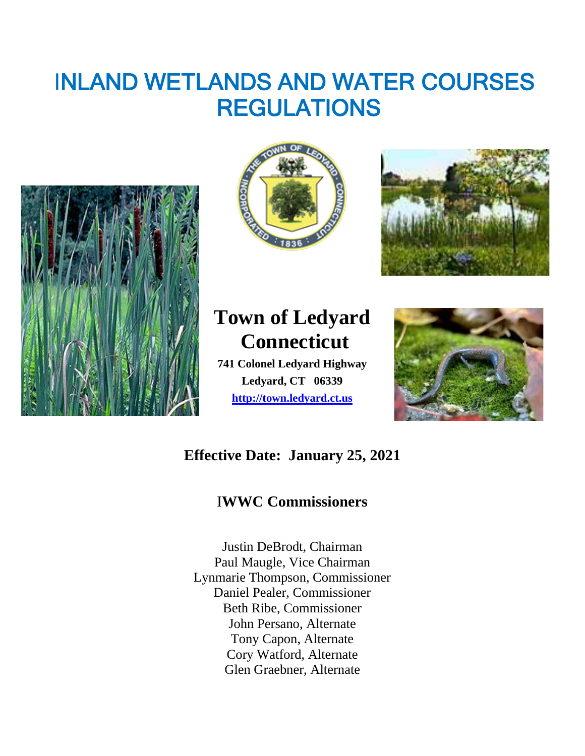# INLAND WETLANDS AND WATER COURSES REGULATIONS







## **Town of Ledyard Connecticut**

**741 Colonel Ledyard Highway Ledyard, CT 06339 [http://town.ledyard.ct.us](http://town.ledyard.ct.us/)**



## **Effective Date: January 25, 2021**

### I**WWC Commissioners**

Justin DeBrodt, Chairman Paul Maugle, Vice Chairman Lynmarie Thompson, Commissioner Daniel Pealer, Commissioner Beth Ribe, Commissioner John Persano, Alternate Tony Capon, Alternate Cory Watford, Alternate Glen Graebner, Alternate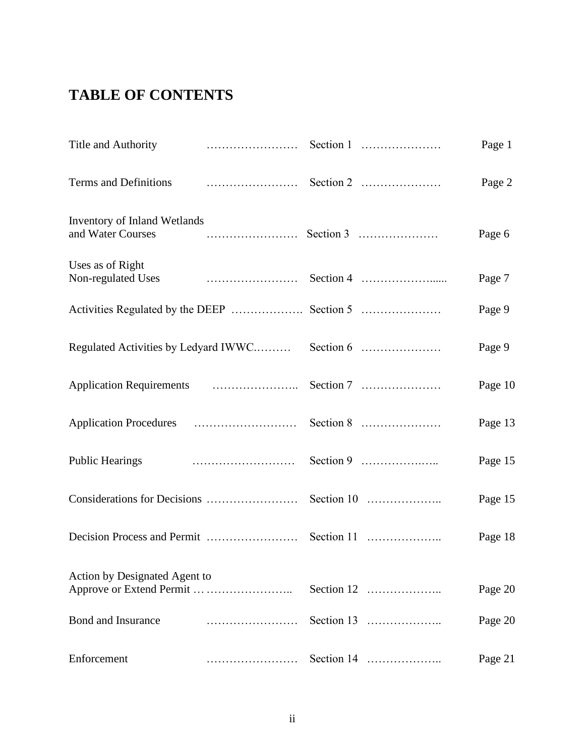## **TABLE OF CONTENTS**

| Title and Authority                               |            | Page 1  |
|---------------------------------------------------|------------|---------|
| Terms and Definitions                             |            | Page 2  |
| Inventory of Inland Wetlands<br>and Water Courses |            | Page 6  |
| Uses as of Right                                  |            | Page 7  |
|                                                   |            | Page 9  |
|                                                   |            | Page 9  |
|                                                   |            | Page 10 |
|                                                   |            | Page 13 |
| <b>Public Hearings</b>                            |            | Page 15 |
|                                                   |            | Page 15 |
|                                                   |            | Page 18 |
| Action by Designated Agent to                     | Section 12 | Page 20 |
| Bond and Insurance                                |            | Page 20 |
| Enforcement                                       |            | Page 21 |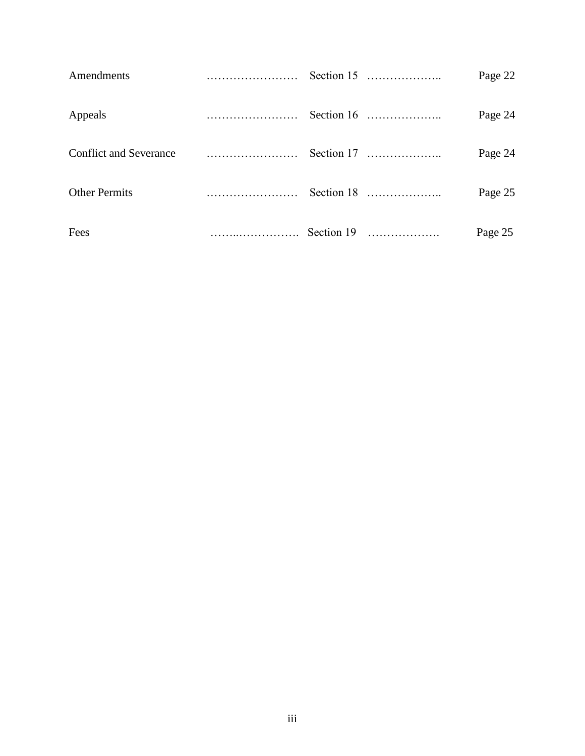| Amendments           |                              |  | Page 22 |
|----------------------|------------------------------|--|---------|
| Appeals              |                              |  | Page 24 |
|                      |                              |  | Page 24 |
| <b>Other Permits</b> |                              |  | Page 25 |
| Fees                 | $\ldots$ $\ldots$ Section 19 |  | Page 25 |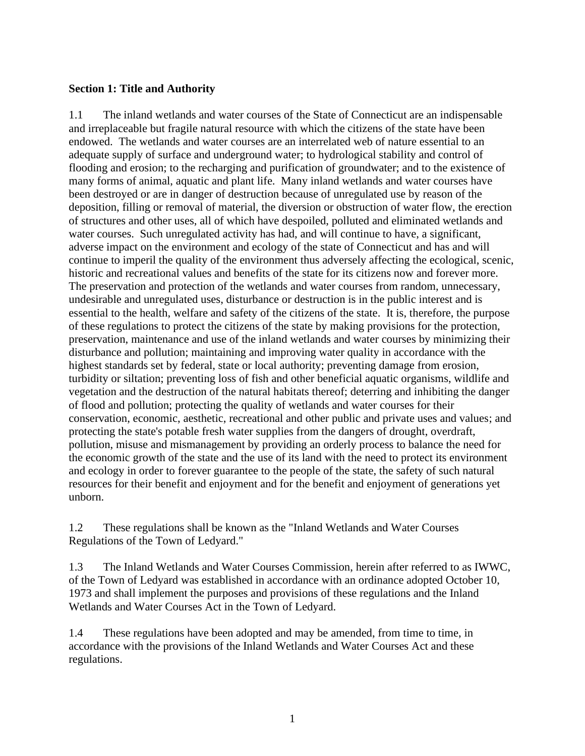#### **Section 1: Title and Authority**

1.1 The inland wetlands and water courses of the State of Connecticut are an indispensable and irreplaceable but fragile natural resource with which the citizens of the state have been endowed. The wetlands and water courses are an interrelated web of nature essential to an adequate supply of surface and underground water; to hydrological stability and control of flooding and erosion; to the recharging and purification of groundwater; and to the existence of many forms of animal, aquatic and plant life. Many inland wetlands and water courses have been destroyed or are in danger of destruction because of unregulated use by reason of the deposition, filling or removal of material, the diversion or obstruction of water flow, the erection of structures and other uses, all of which have despoiled, polluted and eliminated wetlands and water courses. Such unregulated activity has had, and will continue to have, a significant, adverse impact on the environment and ecology of the state of Connecticut and has and will continue to imperil the quality of the environment thus adversely affecting the ecological, scenic, historic and recreational values and benefits of the state for its citizens now and forever more. The preservation and protection of the wetlands and water courses from random, unnecessary, undesirable and unregulated uses, disturbance or destruction is in the public interest and is essential to the health, welfare and safety of the citizens of the state. It is, therefore, the purpose of these regulations to protect the citizens of the state by making provisions for the protection, preservation, maintenance and use of the inland wetlands and water courses by minimizing their disturbance and pollution; maintaining and improving water quality in accordance with the highest standards set by federal, state or local authority; preventing damage from erosion, turbidity or siltation; preventing loss of fish and other beneficial aquatic organisms, wildlife and vegetation and the destruction of the natural habitats thereof; deterring and inhibiting the danger of flood and pollution; protecting the quality of wetlands and water courses for their conservation, economic, aesthetic, recreational and other public and private uses and values; and protecting the state's potable fresh water supplies from the dangers of drought, overdraft, pollution, misuse and mismanagement by providing an orderly process to balance the need for the economic growth of the state and the use of its land with the need to protect its environment and ecology in order to forever guarantee to the people of the state, the safety of such natural resources for their benefit and enjoyment and for the benefit and enjoyment of generations yet unborn.

1.2 These regulations shall be known as the "Inland Wetlands and Water Courses Regulations of the Town of Ledyard."

1.3 The Inland Wetlands and Water Courses Commission, herein after referred to as IWWC, of the Town of Ledyard was established in accordance with an ordinance adopted October 10, 1973 and shall implement the purposes and provisions of these regulations and the Inland Wetlands and Water Courses Act in the Town of Ledyard.

1.4 These regulations have been adopted and may be amended, from time to time, in accordance with the provisions of the Inland Wetlands and Water Courses Act and these regulations.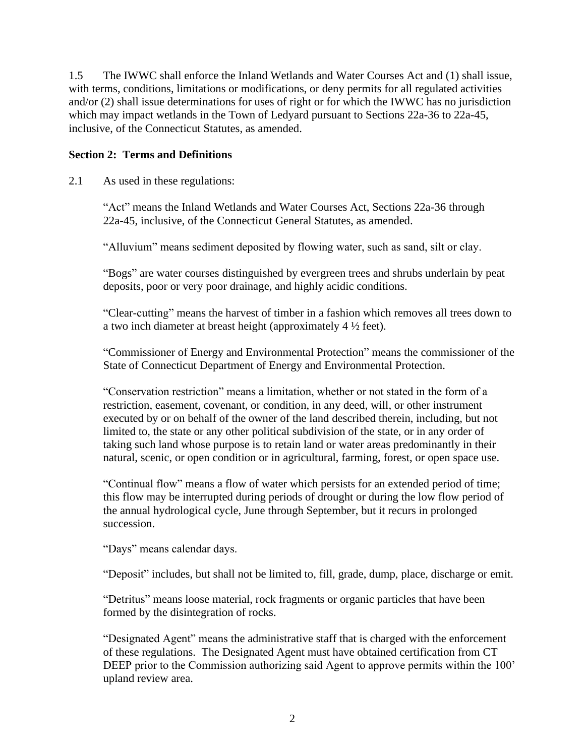1.5 The IWWC shall enforce the Inland Wetlands and Water Courses Act and (1) shall issue, with terms, conditions, limitations or modifications, or deny permits for all regulated activities and/or (2) shall issue determinations for uses of right or for which the IWWC has no jurisdiction which may impact wetlands in the Town of Ledyard pursuant to Sections 22a-36 to 22a-45, inclusive, of the Connecticut Statutes, as amended.

#### **Section 2: Terms and Definitions**

2.1 As used in these regulations:

"Act" means the Inland Wetlands and Water Courses Act, Sections 22a-36 through 22a-45, inclusive, of the Connecticut General Statutes, as amended.

"Alluvium" means sediment deposited by flowing water, such as sand, silt or clay.

"Bogs" are water courses distinguished by evergreen trees and shrubs underlain by peat deposits, poor or very poor drainage, and highly acidic conditions.

"Clear-cutting" means the harvest of timber in a fashion which removes all trees down to a two inch diameter at breast height (approximately 4 ½ feet).

"Commissioner of Energy and Environmental Protection" means the commissioner of the State of Connecticut Department of Energy and Environmental Protection.

"Conservation restriction" means a limitation, whether or not stated in the form of a restriction, easement, covenant, or condition, in any deed, will, or other instrument executed by or on behalf of the owner of the land described therein, including, but not limited to, the state or any other political subdivision of the state, or in any order of taking such land whose purpose is to retain land or water areas predominantly in their natural, scenic, or open condition or in agricultural, farming, forest, or open space use.

"Continual flow" means a flow of water which persists for an extended period of time; this flow may be interrupted during periods of drought or during the low flow period of the annual hydrological cycle, June through September, but it recurs in prolonged succession.

"Days" means calendar days.

"Deposit" includes, but shall not be limited to, fill, grade, dump, place, discharge or emit.

"Detritus" means loose material, rock fragments or organic particles that have been formed by the disintegration of rocks.

"Designated Agent" means the administrative staff that is charged with the enforcement of these regulations. The Designated Agent must have obtained certification from CT DEEP prior to the Commission authorizing said Agent to approve permits within the 100' upland review area.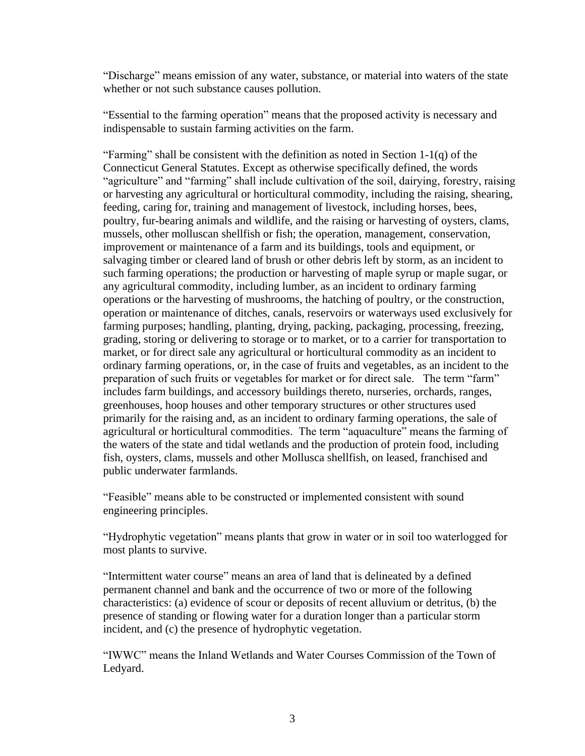"Discharge" means emission of any water, substance, or material into waters of the state whether or not such substance causes pollution.

"Essential to the farming operation" means that the proposed activity is necessary and indispensable to sustain farming activities on the farm.

"Farming" shall be consistent with the definition as noted in Section  $1-1(q)$  of the Connecticut General Statutes. Except as otherwise specifically defined, the words "agriculture" and "farming" shall include cultivation of the soil, dairying, forestry, raising or harvesting any agricultural or horticultural commodity, including the raising, shearing, feeding, caring for, training and management of livestock, including horses, bees, poultry, fur-bearing animals and wildlife, and the raising or harvesting of oysters, clams, mussels, other molluscan shellfish or fish; the operation, management, conservation, improvement or maintenance of a farm and its buildings, tools and equipment, or salvaging timber or cleared land of brush or other debris left by storm, as an incident to such farming operations; the production or harvesting of maple syrup or maple sugar, or any agricultural commodity, including lumber, as an incident to ordinary farming operations or the harvesting of mushrooms, the hatching of poultry, or the construction, operation or maintenance of ditches, canals, reservoirs or waterways used exclusively for farming purposes; handling, planting, drying, packing, packaging, processing, freezing, grading, storing or delivering to storage or to market, or to a carrier for transportation to market, or for direct sale any agricultural or horticultural commodity as an incident to ordinary farming operations, or, in the case of fruits and vegetables, as an incident to the preparation of such fruits or vegetables for market or for direct sale. The term "farm" includes farm buildings, and accessory buildings thereto, nurseries, orchards, ranges, greenhouses, hoop houses and other temporary structures or other structures used primarily for the raising and, as an incident to ordinary farming operations, the sale of agricultural or horticultural commodities. The term "aquaculture" means the farming of the waters of the state and tidal wetlands and the production of protein food, including fish, oysters, clams, mussels and other Mollusca shellfish, on leased, franchised and public underwater farmlands.

"Feasible" means able to be constructed or implemented consistent with sound engineering principles.

"Hydrophytic vegetation" means plants that grow in water or in soil too waterlogged for most plants to survive.

"Intermittent water course" means an area of land that is delineated by a defined permanent channel and bank and the occurrence of two or more of the following characteristics: (a) evidence of scour or deposits of recent alluvium or detritus, (b) the presence of standing or flowing water for a duration longer than a particular storm incident, and (c) the presence of hydrophytic vegetation.

"IWWC" means the Inland Wetlands and Water Courses Commission of the Town of Ledyard.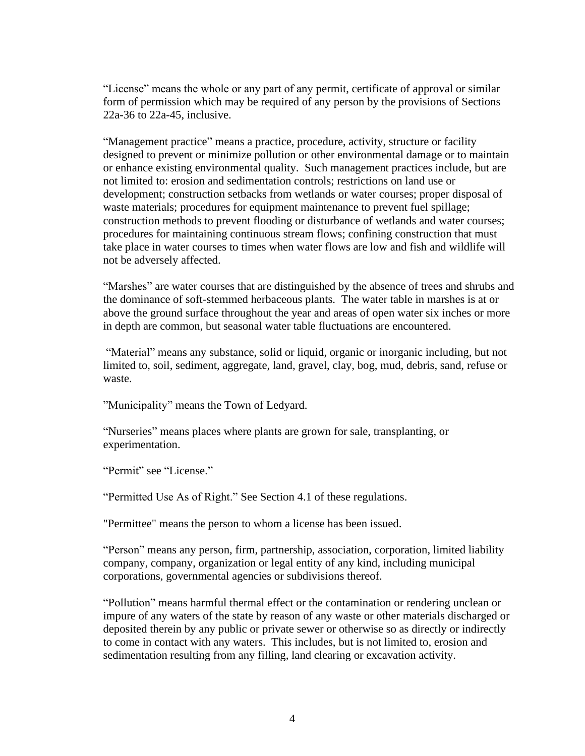"License" means the whole or any part of any permit, certificate of approval or similar form of permission which may be required of any person by the provisions of Sections 22a-36 to 22a-45, inclusive.

"Management practice" means a practice, procedure, activity, structure or facility designed to prevent or minimize pollution or other environmental damage or to maintain or enhance existing environmental quality. Such management practices include, but are not limited to: erosion and sedimentation controls; restrictions on land use or development; construction setbacks from wetlands or water courses; proper disposal of waste materials; procedures for equipment maintenance to prevent fuel spillage; construction methods to prevent flooding or disturbance of wetlands and water courses; procedures for maintaining continuous stream flows; confining construction that must take place in water courses to times when water flows are low and fish and wildlife will not be adversely affected.

 "Marshes" are water courses that are distinguished by the absence of trees and shrubs and the dominance of soft-stemmed herbaceous plants. The water table in marshes is at or above the ground surface throughout the year and areas of open water six inches or more in depth are common, but seasonal water table fluctuations are encountered.

"Material" means any substance, solid or liquid, organic or inorganic including, but not limited to, soil, sediment, aggregate, land, gravel, clay, bog, mud, debris, sand, refuse or waste.

"Municipality" means the Town of Ledyard.

"Nurseries" means places where plants are grown for sale, transplanting, or experimentation.

"Permit" see "License."

"Permitted Use As of Right." See Section 4.1 of these regulations.

"Permittee" means the person to whom a license has been issued.

"Person" means any person, firm, partnership, association, corporation, limited liability company, company, organization or legal entity of any kind, including municipal corporations, governmental agencies or subdivisions thereof.

"Pollution" means harmful thermal effect or the contamination or rendering unclean or impure of any waters of the state by reason of any waste or other materials discharged or deposited therein by any public or private sewer or otherwise so as directly or indirectly to come in contact with any waters. This includes, but is not limited to, erosion and sedimentation resulting from any filling, land clearing or excavation activity.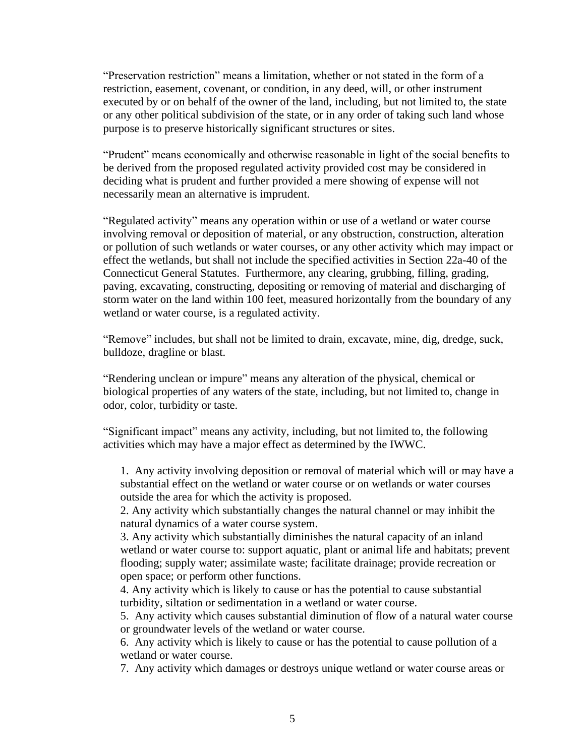"Preservation restriction" means a limitation, whether or not stated in the form of a restriction, easement, covenant, or condition, in any deed, will, or other instrument executed by or on behalf of the owner of the land, including, but not limited to, the state or any other political subdivision of the state, or in any order of taking such land whose purpose is to preserve historically significant structures or sites.

"Prudent" means economically and otherwise reasonable in light of the social benefits to be derived from the proposed regulated activity provided cost may be considered in deciding what is prudent and further provided a mere showing of expense will not necessarily mean an alternative is imprudent.

"Regulated activity" means any operation within or use of a wetland or water course involving removal or deposition of material, or any obstruction, construction, alteration or pollution of such wetlands or water courses, or any other activity which may impact or effect the wetlands, but shall not include the specified activities in Section 22a-40 of the Connecticut General Statutes. Furthermore, any clearing, grubbing, filling, grading, paving, excavating, constructing, depositing or removing of material and discharging of storm water on the land within 100 feet, measured horizontally from the boundary of any wetland or water course, is a regulated activity.

"Remove" includes, but shall not be limited to drain, excavate, mine, dig, dredge, suck, bulldoze, dragline or blast.

"Rendering unclean or impure" means any alteration of the physical, chemical or biological properties of any waters of the state, including, but not limited to, change in odor, color, turbidity or taste.

"Significant impact" means any activity, including, but not limited to, the following activities which may have a major effect as determined by the IWWC.

1. Any activity involving deposition or removal of material which will or may have a substantial effect on the wetland or water course or on wetlands or water courses outside the area for which the activity is proposed.

2. Any activity which substantially changes the natural channel or may inhibit the natural dynamics of a water course system.

3. Any activity which substantially diminishes the natural capacity of an inland wetland or water course to: support aquatic, plant or animal life and habitats; prevent flooding; supply water; assimilate waste; facilitate drainage; provide recreation or open space; or perform other functions.

4. Any activity which is likely to cause or has the potential to cause substantial turbidity, siltation or sedimentation in a wetland or water course.

5. Any activity which causes substantial diminution of flow of a natural water course or groundwater levels of the wetland or water course.

6. Any activity which is likely to cause or has the potential to cause pollution of a wetland or water course.

7. Any activity which damages or destroys unique wetland or water course areas or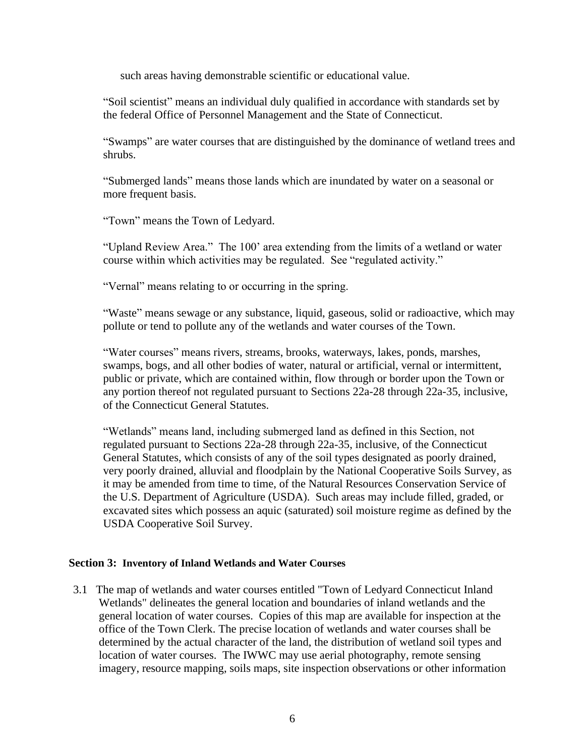such areas having demonstrable scientific or educational value.

"Soil scientist" means an individual duly qualified in accordance with standards set by the federal Office of Personnel Management and the State of Connecticut.

"Swamps" are water courses that are distinguished by the dominance of wetland trees and shrubs.

"Submerged lands" means those lands which are inundated by water on a seasonal or more frequent basis.

"Town" means the Town of Ledyard.

"Upland Review Area." The 100' area extending from the limits of a wetland or water course within which activities may be regulated. See "regulated activity."

"Vernal" means relating to or occurring in the spring.

"Waste" means sewage or any substance, liquid, gaseous, solid or radioactive, which may pollute or tend to pollute any of the wetlands and water courses of the Town.

"Water courses" means rivers, streams, brooks, waterways, lakes, ponds, marshes, swamps, bogs, and all other bodies of water, natural or artificial, vernal or intermittent, public or private, which are contained within, flow through or border upon the Town or any portion thereof not regulated pursuant to Sections 22a-28 through 22a-35, inclusive, of the Connecticut General Statutes.

"Wetlands" means land, including submerged land as defined in this Section, not regulated pursuant to Sections 22a-28 through 22a-35, inclusive, of the Connecticut General Statutes, which consists of any of the soil types designated as poorly drained, very poorly drained, alluvial and floodplain by the National Cooperative Soils Survey, as it may be amended from time to time, of the Natural Resources Conservation Service of the U.S. Department of Agriculture (USDA). Such areas may include filled, graded, or excavated sites which possess an aquic (saturated) soil moisture regime as defined by the USDA Cooperative Soil Survey.

#### **Section 3: Inventory of Inland Wetlands and Water Courses**

3.1 The map of wetlands and water courses entitled "Town of Ledyard Connecticut Inland Wetlands" delineates the general location and boundaries of inland wetlands and the general location of water courses. Copies of this map are available for inspection at the office of the Town Clerk. The precise location of wetlands and water courses shall be determined by the actual character of the land, the distribution of wetland soil types and location of water courses. The IWWC may use aerial photography, remote sensing imagery, resource mapping, soils maps, site inspection observations or other information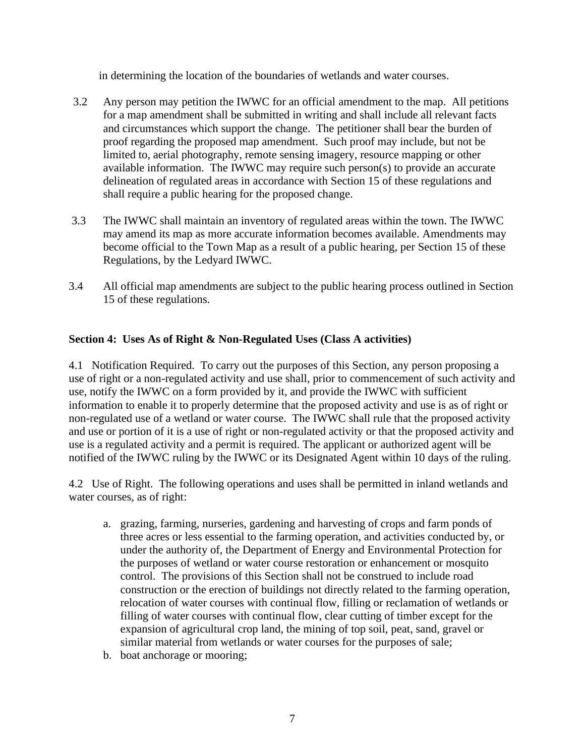in determining the location of the boundaries of wetlands and water courses.

- 3.2 Any person may petition the IWWC for an official amendment to the map. All petitions for a map amendment shall be submitted in writing and shall include all relevant facts and circumstances which support the change. The petitioner shall bear the burden of proof regarding the proposed map amendment. Such proof may include, but not be limited to, aerial photography, remote sensing imagery, resource mapping or other available information. The IWWC may require such person(s) to provide an accurate delineation of regulated areas in accordance with Section 15 of these regulations and shall require a public hearing for the proposed change.
- 3.3 The IWWC shall maintain an inventory of regulated areas within the town. The IWWC may amend its map as more accurate information becomes available. Amendments may become official to the Town Map as a result of a public hearing, per Section 15 of these Regulations, by the Ledyard IWWC.
- 3.4 All official map amendments are subject to the public hearing process outlined in Section 15 of these regulations.

#### **Section 4: Uses As of Right & Non-Regulated Uses (Class A activities)**

4.1 Notification Required. To carry out the purposes of this Section, any person proposing a use of right or a non-regulated activity and use shall, prior to commencement of such activity and use, notify the IWWC on a form provided by it, and provide the IWWC with sufficient information to enable it to properly determine that the proposed activity and use is as of right or non-regulated use of a wetland or water course. The IWWC shall rule that the proposed activity and use or portion of it is a use of right or non-regulated activity or that the proposed activity and use is a regulated activity and a permit is required. The applicant or authorized agent will be notified of the IWWC ruling by the IWWC or its Designated Agent within 10 days of the ruling.

4.2 Use of Right. The following operations and uses shall be permitted in inland wetlands and water courses, as of right:

- a. grazing, farming, nurseries, gardening and harvesting of crops and farm ponds of three acres or less essential to the farming operation, and activities conducted by, or under the authority of, the Department of Energy and Environmental Protection for the purposes of wetland or water course restoration or enhancement or mosquito control. The provisions of this Section shall not be construed to include road construction or the erection of buildings not directly related to the farming operation, relocation of water courses with continual flow, filling or reclamation of wetlands or filling of water courses with continual flow, clear cutting of timber except for the expansion of agricultural crop land, the mining of top soil, peat, sand, gravel or similar material from wetlands or water courses for the purposes of sale;
- b. boat anchorage or mooring;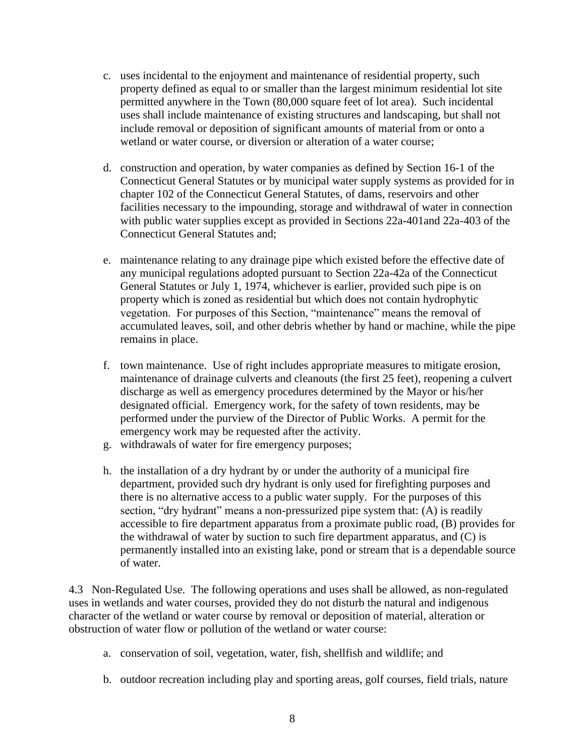- c. uses incidental to the enjoyment and maintenance of residential property, such property defined as equal to or smaller than the largest minimum residential lot site permitted anywhere in the Town (80,000 square feet of lot area). Such incidental uses shall include maintenance of existing structures and landscaping, but shall not include removal or deposition of significant amounts of material from or onto a wetland or water course, or diversion or alteration of a water course;
- d. construction and operation, by water companies as defined by Section 16-1 of the Connecticut General Statutes or by municipal water supply systems as provided for in chapter 102 of the Connecticut General Statutes, of dams, reservoirs and other facilities necessary to the impounding, storage and withdrawal of water in connection with public water supplies except as provided in Sections 22a-401and 22a-403 of the Connecticut General Statutes and;
- e. maintenance relating to any drainage pipe which existed before the effective date of any municipal regulations adopted pursuant to Section 22a-42a of the Connecticut General Statutes or July 1, 1974, whichever is earlier, provided such pipe is on property which is zoned as residential but which does not contain hydrophytic vegetation. For purposes of this Section, "maintenance" means the removal of accumulated leaves, soil, and other debris whether by hand or machine, while the pipe remains in place.
- f. town maintenance. Use of right includes appropriate measures to mitigate erosion, maintenance of drainage culverts and cleanouts (the first 25 feet), reopening a culvert discharge as well as emergency procedures determined by the Mayor or his/her designated official. Emergency work, for the safety of town residents, may be performed under the purview of the Director of Public Works. A permit for the emergency work may be requested after the activity.
- g. withdrawals of water for fire emergency purposes;
- h. the installation of a dry hydrant by or under the authority of a municipal fire department, provided such dry hydrant is only used for firefighting purposes and there is no alternative access to a public water supply. For the purposes of this section, "dry hydrant" means a non-pressurized pipe system that: (A) is readily accessible to fire department apparatus from a proximate public road, (B) provides for the withdrawal of water by suction to such fire department apparatus, and (C) is permanently installed into an existing lake, pond or stream that is a dependable source of water.

4.3 Non-Regulated Use. The following operations and uses shall be allowed, as non-regulated uses in wetlands and water courses, provided they do not disturb the natural and indigenous character of the wetland or water course by removal or deposition of material, alteration or obstruction of water flow or pollution of the wetland or water course:

- a. conservation of soil, vegetation, water, fish, shellfish and wildlife; and
- b. outdoor recreation including play and sporting areas, golf courses, field trials, nature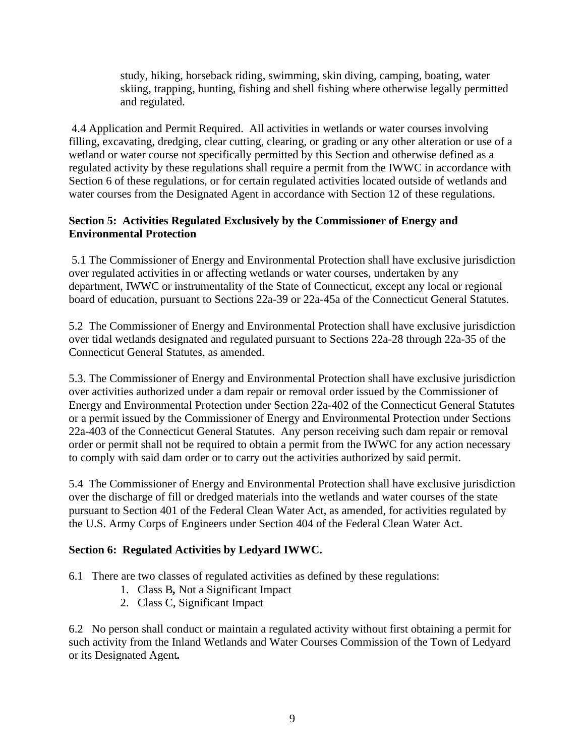study, hiking, horseback riding, swimming, skin diving, camping, boating, water skiing, trapping, hunting, fishing and shell fishing where otherwise legally permitted and regulated.

4.4 Application and Permit Required. All activities in wetlands or water courses involving filling, excavating, dredging, clear cutting, clearing, or grading or any other alteration or use of a wetland or water course not specifically permitted by this Section and otherwise defined as a regulated activity by these regulations shall require a permit from the IWWC in accordance with Section 6 of these regulations, or for certain regulated activities located outside of wetlands and water courses from the Designated Agent in accordance with Section 12 of these regulations.

#### **Section 5: Activities Regulated Exclusively by the Commissioner of Energy and Environmental Protection**

5.1 The Commissioner of Energy and Environmental Protection shall have exclusive jurisdiction over regulated activities in or affecting wetlands or water courses, undertaken by any department, IWWC or instrumentality of the State of Connecticut, except any local or regional board of education, pursuant to Sections 22a-39 or 22a-45a of the Connecticut General Statutes.

5.2 The Commissioner of Energy and Environmental Protection shall have exclusive jurisdiction over tidal wetlands designated and regulated pursuant to Sections 22a-28 through 22a-35 of the Connecticut General Statutes, as amended.

5.3. The Commissioner of Energy and Environmental Protection shall have exclusive jurisdiction over activities authorized under a dam repair or removal order issued by the Commissioner of Energy and Environmental Protection under Section 22a-402 of the Connecticut General Statutes or a permit issued by the Commissioner of Energy and Environmental Protection under Sections 22a-403 of the Connecticut General Statutes. Any person receiving such dam repair or removal order or permit shall not be required to obtain a permit from the IWWC for any action necessary to comply with said dam order or to carry out the activities authorized by said permit.

5.4 The Commissioner of Energy and Environmental Protection shall have exclusive jurisdiction over the discharge of fill or dredged materials into the wetlands and water courses of the state pursuant to Section 401 of the Federal Clean Water Act, as amended, for activities regulated by the U.S. Army Corps of Engineers under Section 404 of the Federal Clean Water Act.

#### **Section 6: Regulated Activities by Ledyard IWWC.**

6.1 There are two classes of regulated activities as defined by these regulations:

- 1. Class B*,* Not a Significant Impact
- 2. Class C, Significant Impact

6.2 No person shall conduct or maintain a regulated activity without first obtaining a permit for such activity from the Inland Wetlands and Water Courses Commission of the Town of Ledyard or its Designated Agent*.*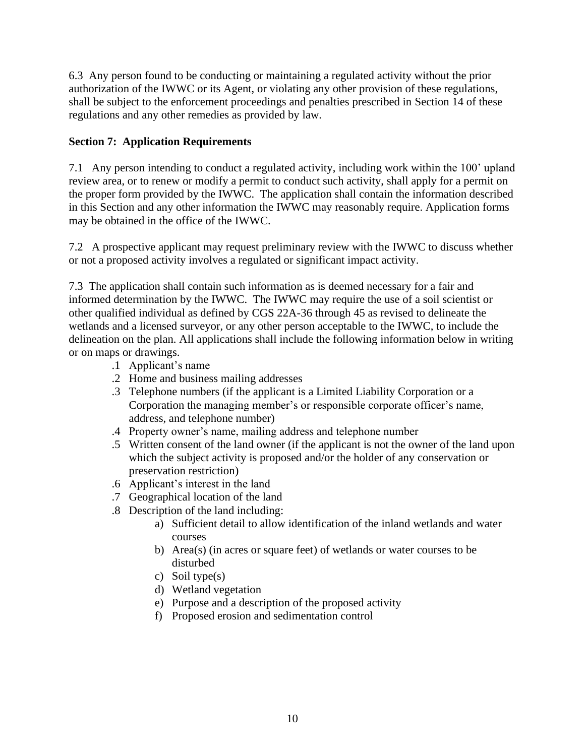6.3 Any person found to be conducting or maintaining a regulated activity without the prior authorization of the IWWC or its Agent, or violating any other provision of these regulations, shall be subject to the enforcement proceedings and penalties prescribed in Section 14 of these regulations and any other remedies as provided by law.

#### **Section 7: Application Requirements**

7.1 Any person intending to conduct a regulated activity, including work within the 100' upland review area, or to renew or modify a permit to conduct such activity, shall apply for a permit on the proper form provided by the IWWC. The application shall contain the information described in this Section and any other information the IWWC may reasonably require. Application forms may be obtained in the office of the IWWC.

7.2 A prospective applicant may request preliminary review with the IWWC to discuss whether or not a proposed activity involves a regulated or significant impact activity.

7.3 The application shall contain such information as is deemed necessary for a fair and informed determination by the IWWC. The IWWC may require the use of a soil scientist or other qualified individual as defined by CGS 22A-36 through 45 as revised to delineate the wetlands and a licensed surveyor, or any other person acceptable to the IWWC, to include the delineation on the plan. All applications shall include the following information below in writing or on maps or drawings.

- .1 Applicant's name
- .2 Home and business mailing addresses
- .3 Telephone numbers (if the applicant is a Limited Liability Corporation or a Corporation the managing member's or responsible corporate officer's name, address, and telephone number)
- .4 Property owner's name, mailing address and telephone number
- .5 Written consent of the land owner (if the applicant is not the owner of the land upon which the subject activity is proposed and/or the holder of any conservation or preservation restriction)
- .6 Applicant's interest in the land
- .7 Geographical location of the land
- .8 Description of the land including:
	- a) Sufficient detail to allow identification of the inland wetlands and water courses
	- b) Area(s) (in acres or square feet) of wetlands or water courses to be disturbed
	- c) Soil type(s)
	- d) Wetland vegetation
	- e) Purpose and a description of the proposed activity
	- f) Proposed erosion and sedimentation control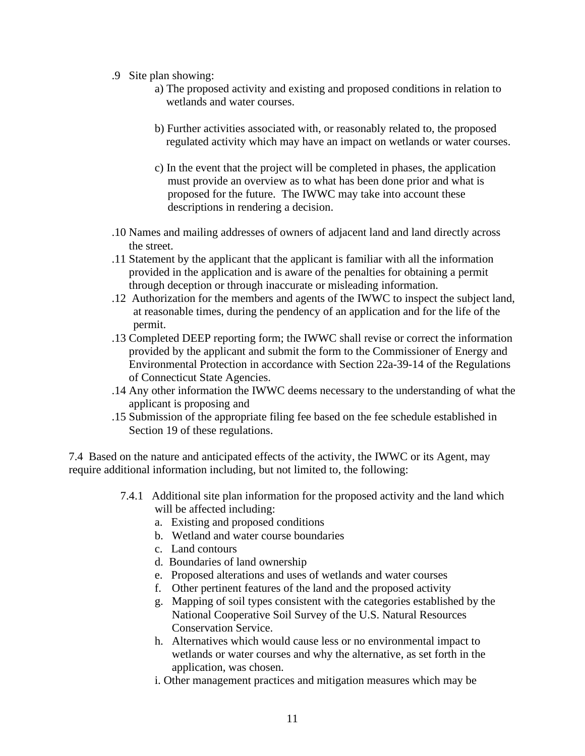- .9 Site plan showing:
	- a) The proposed activity and existing and proposed conditions in relation to wetlands and water courses.
	- b) Further activities associated with, or reasonably related to, the proposed regulated activity which may have an impact on wetlands or water courses.
	- c) In the event that the project will be completed in phases, the application must provide an overview as to what has been done prior and what is proposed for the future. The IWWC may take into account these descriptions in rendering a decision.
- .10 Names and mailing addresses of owners of adjacent land and land directly across the street.
- .11 Statement by the applicant that the applicant is familiar with all the information provided in the application and is aware of the penalties for obtaining a permit through deception or through inaccurate or misleading information.
- .12 Authorization for the members and agents of the IWWC to inspect the subject land, at reasonable times, during the pendency of an application and for the life of the permit.
- .13 Completed DEEP reporting form; the IWWC shall revise or correct the information provided by the applicant and submit the form to the Commissioner of Energy and Environmental Protection in accordance with Section 22a-39-14 of the Regulations of Connecticut State Agencies.
- .14 Any other information the IWWC deems necessary to the understanding of what the applicant is proposing and
- .15 Submission of the appropriate filing fee based on the fee schedule established in Section 19 of these regulations.

7.4 Based on the nature and anticipated effects of the activity, the IWWC or its Agent, may require additional information including, but not limited to, the following:

- 7.4.1 Additional site plan information for the proposed activity and the land which will be affected including:
	- a. Existing and proposed conditions
	- b. Wetland and water course boundaries
	- c. Land contours
	- d. Boundaries of land ownership
	- e. Proposed alterations and uses of wetlands and water courses
	- f. Other pertinent features of the land and the proposed activity
	- g. Mapping of soil types consistent with the categories established by the National Cooperative Soil Survey of the U.S. Natural Resources Conservation Service.
	- h. Alternatives which would cause less or no environmental impact to wetlands or water courses and why the alternative, as set forth in the application, was chosen.
	- i. Other management practices and mitigation measures which may be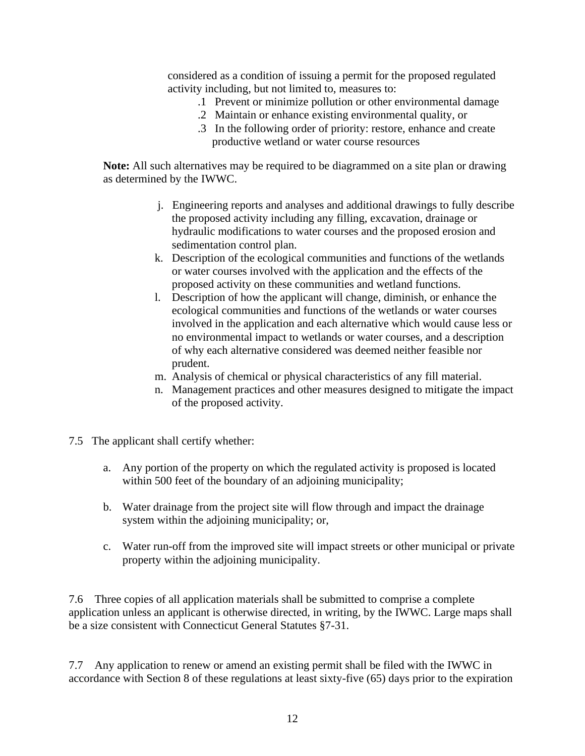considered as a condition of issuing a permit for the proposed regulated activity including, but not limited to, measures to:

- .1 Prevent or minimize pollution or other environmental damage
- .2 Maintain or enhance existing environmental quality, or
- .3 In the following order of priority: restore, enhance and create productive wetland or water course resources

**Note:** All such alternatives may be required to be diagrammed on a site plan or drawing as determined by the IWWC.

- j. Engineering reports and analyses and additional drawings to fully describe the proposed activity including any filling, excavation, drainage or hydraulic modifications to water courses and the proposed erosion and sedimentation control plan.
- k. Description of the ecological communities and functions of the wetlands or water courses involved with the application and the effects of the proposed activity on these communities and wetland functions.
- l. Description of how the applicant will change, diminish, or enhance the ecological communities and functions of the wetlands or water courses involved in the application and each alternative which would cause less or no environmental impact to wetlands or water courses, and a description of why each alternative considered was deemed neither feasible nor prudent.
- m. Analysis of chemical or physical characteristics of any fill material.
- n. Management practices and other measures designed to mitigate the impact of the proposed activity.
- 7.5 The applicant shall certify whether:
	- a. Any portion of the property on which the regulated activity is proposed is located within 500 feet of the boundary of an adjoining municipality;
	- b. Water drainage from the project site will flow through and impact the drainage system within the adjoining municipality; or,
	- c. Water run-off from the improved site will impact streets or other municipal or private property within the adjoining municipality.

7.6 Three copies of all application materials shall be submitted to comprise a complete application unless an applicant is otherwise directed, in writing, by the IWWC. Large maps shall be a size consistent with Connecticut General Statutes §7-31.

7.7 Any application to renew or amend an existing permit shall be filed with the IWWC in accordance with Section 8 of these regulations at least sixty-five (65) days prior to the expiration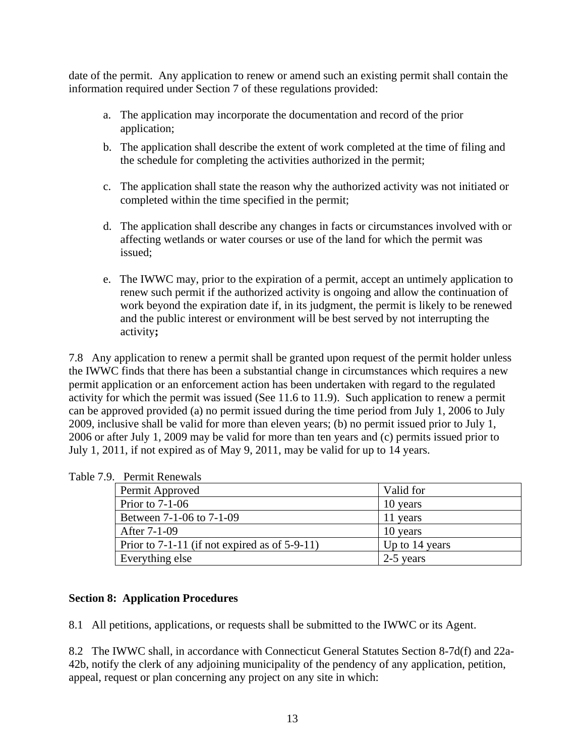date of the permit. Any application to renew or amend such an existing permit shall contain the information required under Section 7 of these regulations provided:

- a. The application may incorporate the documentation and record of the prior application;
- b. The application shall describe the extent of work completed at the time of filing and the schedule for completing the activities authorized in the permit;
- c. The application shall state the reason why the authorized activity was not initiated or completed within the time specified in the permit;
- d. The application shall describe any changes in facts or circumstances involved with or affecting wetlands or water courses or use of the land for which the permit was issued;
- e. The IWWC may, prior to the expiration of a permit, accept an untimely application to renew such permit if the authorized activity is ongoing and allow the continuation of work beyond the expiration date if, in its judgment, the permit is likely to be renewed and the public interest or environment will be best served by not interrupting the activity**;**

7.8 Any application to renew a permit shall be granted upon request of the permit holder unless the IWWC finds that there has been a substantial change in circumstances which requires a new permit application or an enforcement action has been undertaken with regard to the regulated activity for which the permit was issued (See 11.6 to 11.9). Such application to renew a permit can be approved provided (a) no permit issued during the time period from July 1, 2006 to July 2009, inclusive shall be valid for more than eleven years; (b) no permit issued prior to July 1, 2006 or after July 1, 2009 may be valid for more than ten years and (c) permits issued prior to July 1, 2011, if not expired as of May 9, 2011, may be valid for up to 14 years.

| Permit Approved                                    | Valid for      |
|----------------------------------------------------|----------------|
| Prior to $7-1-06$                                  | 10 years       |
| Between 7-1-06 to 7-1-09                           | 11 years       |
| After 7-1-09                                       | 10 years       |
| Prior to $7-1-11$ (if not expired as of $5-9-11$ ) | Up to 14 years |
| Everything else                                    | 2-5 years      |

Table 7.9. Permit Renewals

#### **Section 8: Application Procedures**

8.1 All petitions, applications, or requests shall be submitted to the IWWC or its Agent.

8.2 The IWWC shall, in accordance with Connecticut General Statutes Section 8-7d(f) and 22a-42b, notify the clerk of any adjoining municipality of the pendency of any application, petition, appeal, request or plan concerning any project on any site in which: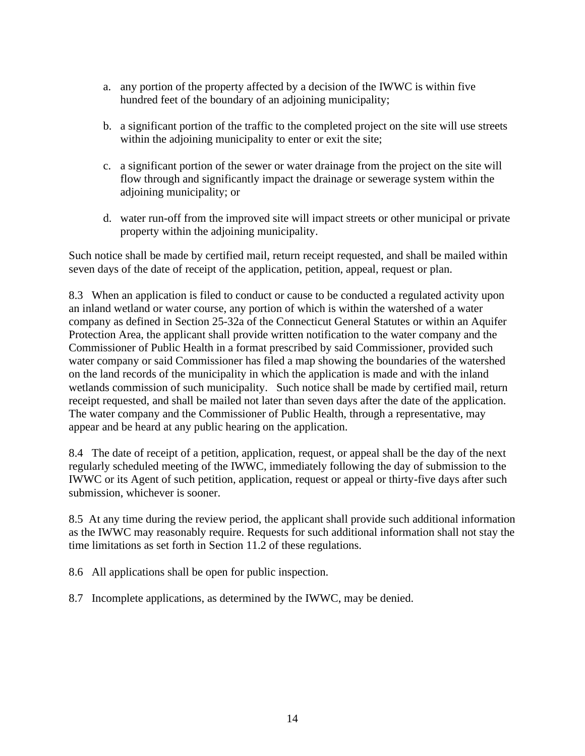- a. any portion of the property affected by a decision of the IWWC is within five hundred feet of the boundary of an adjoining municipality;
- b. a significant portion of the traffic to the completed project on the site will use streets within the adjoining municipality to enter or exit the site;
- c. a significant portion of the sewer or water drainage from the project on the site will flow through and significantly impact the drainage or sewerage system within the adjoining municipality; or
- d. water run-off from the improved site will impact streets or other municipal or private property within the adjoining municipality.

Such notice shall be made by certified mail, return receipt requested, and shall be mailed within seven days of the date of receipt of the application, petition, appeal, request or plan.

8.3 When an application is filed to conduct or cause to be conducted a regulated activity upon an inland wetland or water course, any portion of which is within the watershed of a water company as defined in Section 25-32a of the Connecticut General Statutes or within an Aquifer Protection Area, the applicant shall provide written notification to the water company and the Commissioner of Public Health in a format prescribed by said Commissioner, provided such water company or said Commissioner has filed a map showing the boundaries of the watershed on the land records of the municipality in which the application is made and with the inland wetlands commission of such municipality. Such notice shall be made by certified mail, return receipt requested, and shall be mailed not later than seven days after the date of the application. The water company and the Commissioner of Public Health, through a representative, may appear and be heard at any public hearing on the application.

8.4 The date of receipt of a petition, application, request, or appeal shall be the day of the next regularly scheduled meeting of the IWWC, immediately following the day of submission to the IWWC or its Agent of such petition, application, request or appeal or thirty-five days after such submission, whichever is sooner.

8.5 At any time during the review period, the applicant shall provide such additional information as the IWWC may reasonably require. Requests for such additional information shall not stay the time limitations as set forth in Section 11.2 of these regulations.

8.6 All applications shall be open for public inspection.

8.7 Incomplete applications, as determined by the IWWC, may be denied.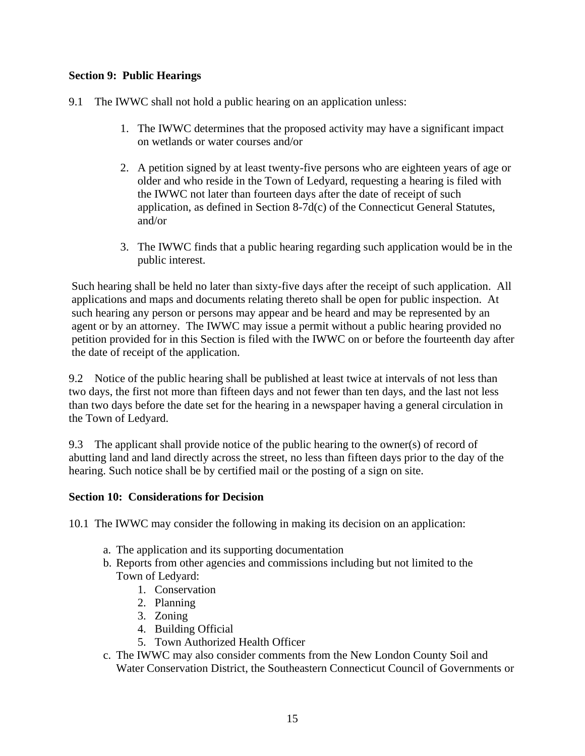#### **Section 9: Public Hearings**

- 9.1 The IWWC shall not hold a public hearing on an application unless:
	- 1. The IWWC determines that the proposed activity may have a significant impact on wetlands or water courses and/or
	- 2. A petition signed by at least twenty-five persons who are eighteen years of age or older and who reside in the Town of Ledyard, requesting a hearing is filed with the IWWC not later than fourteen days after the date of receipt of such application, as defined in Section 8-7d(c) of the Connecticut General Statutes, and/or
	- 3. The IWWC finds that a public hearing regarding such application would be in the public interest.

Such hearing shall be held no later than sixty-five days after the receipt of such application. All applications and maps and documents relating thereto shall be open for public inspection. At such hearing any person or persons may appear and be heard and may be represented by an agent or by an attorney. The IWWC may issue a permit without a public hearing provided no petition provided for in this Section is filed with the IWWC on or before the fourteenth day after the date of receipt of the application.

9.2 Notice of the public hearing shall be published at least twice at intervals of not less than two days, the first not more than fifteen days and not fewer than ten days, and the last not less than two days before the date set for the hearing in a newspaper having a general circulation in the Town of Ledyard.

9.3 The applicant shall provide notice of the public hearing to the owner(s) of record of abutting land and land directly across the street, no less than fifteen days prior to the day of the hearing. Such notice shall be by certified mail or the posting of a sign on site.

#### **Section 10: Considerations for Decision**

10.1 The IWWC may consider the following in making its decision on an application:

- a. The application and its supporting documentation
- b. Reports from other agencies and commissions including but not limited to the Town of Ledyard:
	- 1. Conservation
	- 2. Planning
	- 3. Zoning
	- 4. Building Official
	- 5. Town Authorized Health Officer
- c. The IWWC may also consider comments from the New London County Soil and Water Conservation District, the Southeastern Connecticut Council of Governments or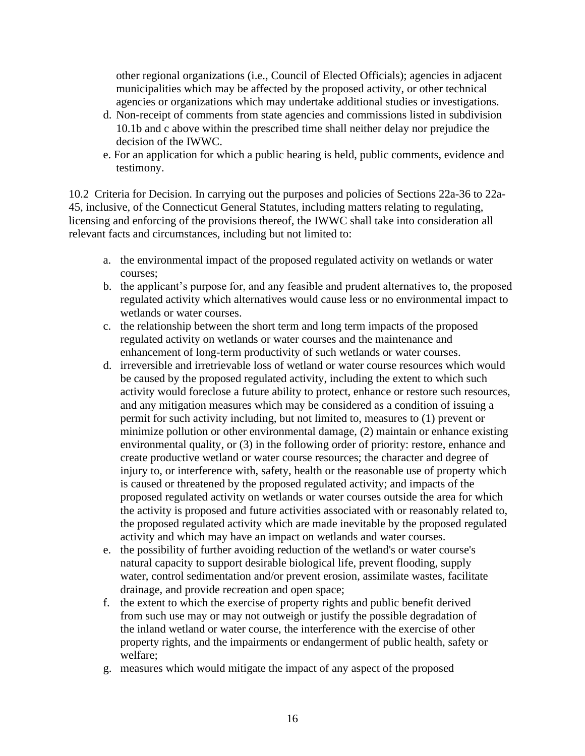other regional organizations (i.e., Council of Elected Officials); agencies in adjacent municipalities which may be affected by the proposed activity, or other technical agencies or organizations which may undertake additional studies or investigations.

- d. Non-receipt of comments from state agencies and commissions listed in subdivision 10.1b and c above within the prescribed time shall neither delay nor prejudice the decision of the IWWC.
- e. For an application for which a public hearing is held, public comments, evidence and testimony.

10.2 Criteria for Decision. In carrying out the purposes and policies of Sections 22a-36 to 22a-45, inclusive, of the Connecticut General Statutes, including matters relating to regulating, licensing and enforcing of the provisions thereof, the IWWC shall take into consideration all relevant facts and circumstances, including but not limited to:

- a. the environmental impact of the proposed regulated activity on wetlands or water courses;
- b. the applicant's purpose for, and any feasible and prudent alternatives to, the proposed regulated activity which alternatives would cause less or no environmental impact to wetlands or water courses.
- c. the relationship between the short term and long term impacts of the proposed regulated activity on wetlands or water courses and the maintenance and enhancement of long-term productivity of such wetlands or water courses.
- d. irreversible and irretrievable loss of wetland or water course resources which would be caused by the proposed regulated activity, including the extent to which such activity would foreclose a future ability to protect, enhance or restore such resources, and any mitigation measures which may be considered as a condition of issuing a permit for such activity including, but not limited to, measures to (1) prevent or minimize pollution or other environmental damage, (2) maintain or enhance existing environmental quality, or (3) in the following order of priority: restore, enhance and create productive wetland or water course resources; the character and degree of injury to, or interference with, safety, health or the reasonable use of property which is caused or threatened by the proposed regulated activity; and impacts of the proposed regulated activity on wetlands or water courses outside the area for which the activity is proposed and future activities associated with or reasonably related to, the proposed regulated activity which are made inevitable by the proposed regulated activity and which may have an impact on wetlands and water courses.
- e. the possibility of further avoiding reduction of the wetland's or water course's natural capacity to support desirable biological life, prevent flooding, supply water, control sedimentation and/or prevent erosion, assimilate wastes, facilitate drainage, and provide recreation and open space;
- f. the extent to which the exercise of property rights and public benefit derived from such use may or may not outweigh or justify the possible degradation of the inland wetland or water course, the interference with the exercise of other property rights, and the impairments or endangerment of public health, safety or welfare;
- g. measures which would mitigate the impact of any aspect of the proposed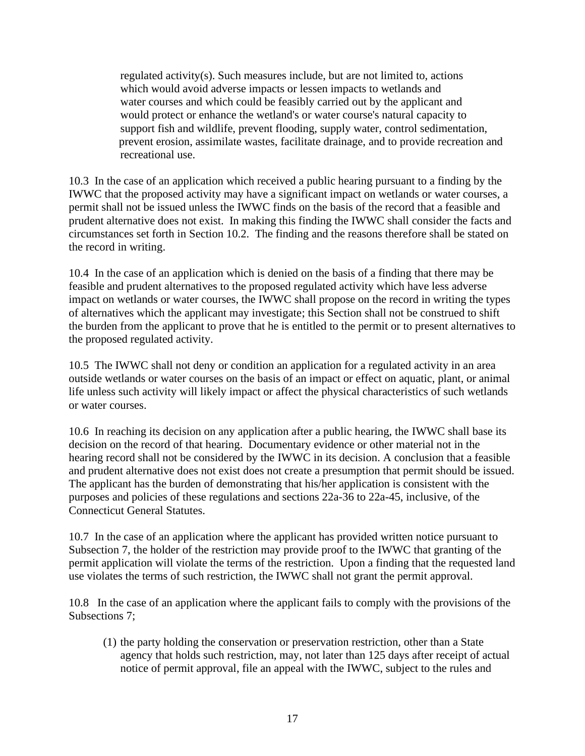regulated activity(s). Such measures include, but are not limited to, actions which would avoid adverse impacts or lessen impacts to wetlands and water courses and which could be feasibly carried out by the applicant and would protect or enhance the wetland's or water course's natural capacity to support fish and wildlife, prevent flooding, supply water, control sedimentation, prevent erosion, assimilate wastes, facilitate drainage, and to provide recreation and recreational use.

10.3 In the case of an application which received a public hearing pursuant to a finding by the IWWC that the proposed activity may have a significant impact on wetlands or water courses, a permit shall not be issued unless the IWWC finds on the basis of the record that a feasible and prudent alternative does not exist. In making this finding the IWWC shall consider the facts and circumstances set forth in Section 10.2. The finding and the reasons therefore shall be stated on the record in writing.

10.4 In the case of an application which is denied on the basis of a finding that there may be feasible and prudent alternatives to the proposed regulated activity which have less adverse impact on wetlands or water courses, the IWWC shall propose on the record in writing the types of alternatives which the applicant may investigate; this Section shall not be construed to shift the burden from the applicant to prove that he is entitled to the permit or to present alternatives to the proposed regulated activity.

10.5 The IWWC shall not deny or condition an application for a regulated activity in an area outside wetlands or water courses on the basis of an impact or effect on aquatic, plant, or animal life unless such activity will likely impact or affect the physical characteristics of such wetlands or water courses.

10.6 In reaching its decision on any application after a public hearing, the IWWC shall base its decision on the record of that hearing. Documentary evidence or other material not in the hearing record shall not be considered by the IWWC in its decision. A conclusion that a feasible and prudent alternative does not exist does not create a presumption that permit should be issued. The applicant has the burden of demonstrating that his/her application is consistent with the purposes and policies of these regulations and sections 22a-36 to 22a-45, inclusive, of the Connecticut General Statutes.

10.7 In the case of an application where the applicant has provided written notice pursuant to Subsection 7, the holder of the restriction may provide proof to the IWWC that granting of the permit application will violate the terms of the restriction. Upon a finding that the requested land use violates the terms of such restriction, the IWWC shall not grant the permit approval.

10.8 In the case of an application where the applicant fails to comply with the provisions of the Subsections 7;

(1) the party holding the conservation or preservation restriction, other than a State agency that holds such restriction, may, not later than 125 days after receipt of actual notice of permit approval, file an appeal with the IWWC, subject to the rules and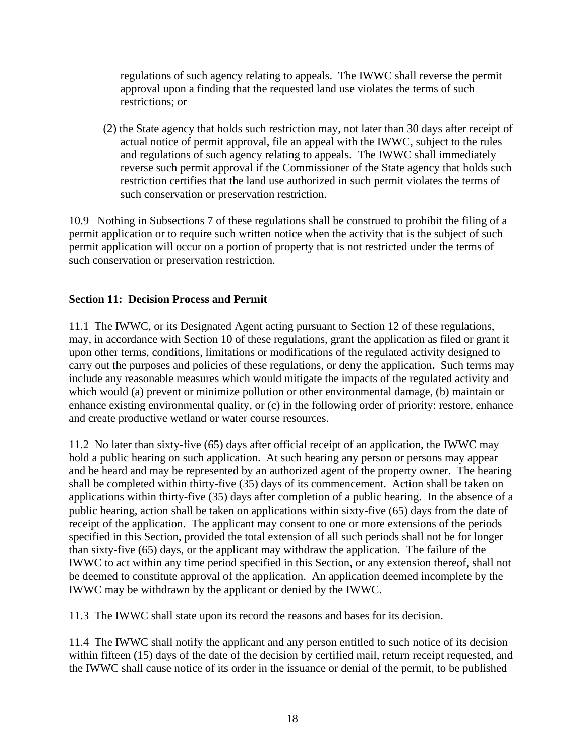regulations of such agency relating to appeals. The IWWC shall reverse the permit approval upon a finding that the requested land use violates the terms of such restrictions; or

(2) the State agency that holds such restriction may, not later than 30 days after receipt of actual notice of permit approval, file an appeal with the IWWC, subject to the rules and regulations of such agency relating to appeals. The IWWC shall immediately reverse such permit approval if the Commissioner of the State agency that holds such restriction certifies that the land use authorized in such permit violates the terms of such conservation or preservation restriction.

10.9 Nothing in Subsections 7 of these regulations shall be construed to prohibit the filing of a permit application or to require such written notice when the activity that is the subject of such permit application will occur on a portion of property that is not restricted under the terms of such conservation or preservation restriction.

#### **Section 11: Decision Process and Permit**

11.1 The IWWC, or its Designated Agent acting pursuant to Section 12 of these regulations, may, in accordance with Section 10 of these regulations, grant the application as filed or grant it upon other terms, conditions, limitations or modifications of the regulated activity designed to carry out the purposes and policies of these regulations, or deny the application**.** Such terms may include any reasonable measures which would mitigate the impacts of the regulated activity and which would (a) prevent or minimize pollution or other environmental damage, (b) maintain or enhance existing environmental quality, or (c) in the following order of priority: restore, enhance and create productive wetland or water course resources.

11.2 No later than sixty-five (65) days after official receipt of an application, the IWWC may hold a public hearing on such application. At such hearing any person or persons may appear and be heard and may be represented by an authorized agent of the property owner. The hearing shall be completed within thirty-five (35) days of its commencement. Action shall be taken on applications within thirty-five (35) days after completion of a public hearing. In the absence of a public hearing, action shall be taken on applications within sixty-five (65) days from the date of receipt of the application. The applicant may consent to one or more extensions of the periods specified in this Section, provided the total extension of all such periods shall not be for longer than sixty-five (65) days, or the applicant may withdraw the application. The failure of the IWWC to act within any time period specified in this Section, or any extension thereof, shall not be deemed to constitute approval of the application. An application deemed incomplete by the IWWC may be withdrawn by the applicant or denied by the IWWC.

11.3 The IWWC shall state upon its record the reasons and bases for its decision.

11.4 The IWWC shall notify the applicant and any person entitled to such notice of its decision within fifteen (15) days of the date of the decision by certified mail, return receipt requested, and the IWWC shall cause notice of its order in the issuance or denial of the permit, to be published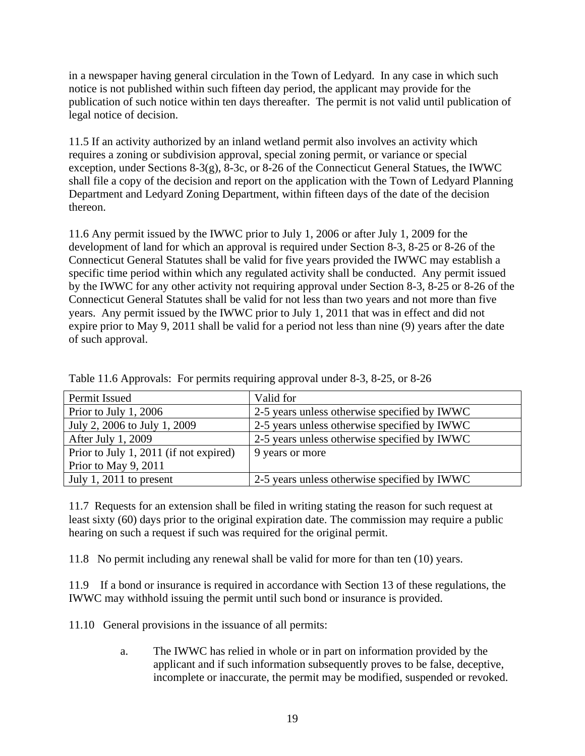in a newspaper having general circulation in the Town of Ledyard. In any case in which such notice is not published within such fifteen day period, the applicant may provide for the publication of such notice within ten days thereafter. The permit is not valid until publication of legal notice of decision.

11.5 If an activity authorized by an inland wetland permit also involves an activity which requires a zoning or subdivision approval, special zoning permit, or variance or special exception, under Sections 8-3(g), 8-3c, or 8-26 of the Connecticut General Statues, the IWWC shall file a copy of the decision and report on the application with the Town of Ledyard Planning Department and Ledyard Zoning Department, within fifteen days of the date of the decision thereon.

11.6 Any permit issued by the IWWC prior to July 1, 2006 or after July 1, 2009 for the development of land for which an approval is required under Section 8-3, 8-25 or 8-26 of the Connecticut General Statutes shall be valid for five years provided the IWWC may establish a specific time period within which any regulated activity shall be conducted. Any permit issued by the IWWC for any other activity not requiring approval under Section 8-3, 8-25 or 8-26 of the Connecticut General Statutes shall be valid for not less than two years and not more than five years. Any permit issued by the IWWC prior to July 1, 2011 that was in effect and did not expire prior to May 9, 2011 shall be valid for a period not less than nine (9) years after the date of such approval.

| Permit Issued                          | Valid for                                    |
|----------------------------------------|----------------------------------------------|
| Prior to July 1, 2006                  | 2-5 years unless otherwise specified by IWWC |
| July 2, 2006 to July 1, 2009           | 2-5 years unless otherwise specified by IWWC |
| After July 1, 2009                     | 2-5 years unless otherwise specified by IWWC |
| Prior to July 1, 2011 (if not expired) | 9 years or more                              |
| Prior to May 9, 2011                   |                                              |
| July 1, 2011 to present                | 2-5 years unless otherwise specified by IWWC |

Table 11.6 Approvals: For permits requiring approval under 8-3, 8-25, or 8-26

11.7 Requests for an extension shall be filed in writing stating the reason for such request at least sixty (60) days prior to the original expiration date. The commission may require a public hearing on such a request if such was required for the original permit.

11.8 No permit including any renewal shall be valid for more for than ten (10) years.

11.9 If a bond or insurance is required in accordance with Section 13 of these regulations, the IWWC may withhold issuing the permit until such bond or insurance is provided.

11.10 General provisions in the issuance of all permits:

a. The IWWC has relied in whole or in part on information provided by the applicant and if such information subsequently proves to be false, deceptive, incomplete or inaccurate, the permit may be modified, suspended or revoked.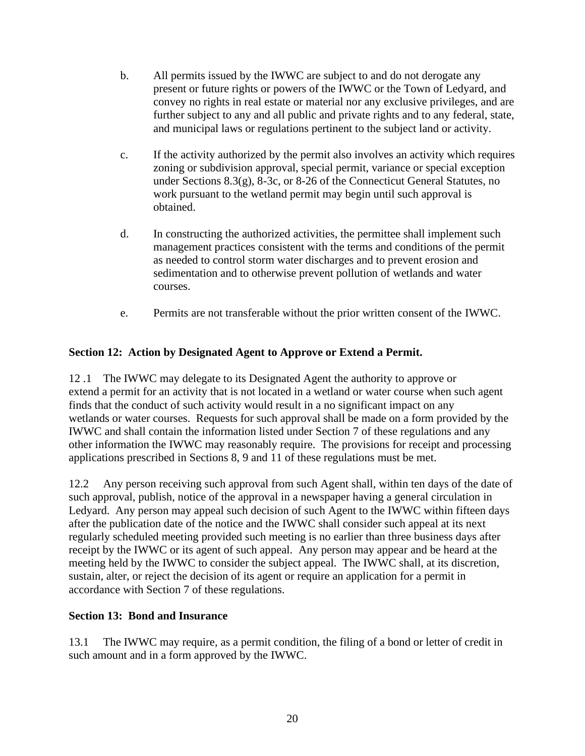- b. All permits issued by the IWWC are subject to and do not derogate any present or future rights or powers of the IWWC or the Town of Ledyard, and convey no rights in real estate or material nor any exclusive privileges, and are further subject to any and all public and private rights and to any federal, state, and municipal laws or regulations pertinent to the subject land or activity.
- c. If the activity authorized by the permit also involves an activity which requires zoning or subdivision approval, special permit, variance or special exception under Sections 8.3(g), 8-3c, or 8-26 of the Connecticut General Statutes, no work pursuant to the wetland permit may begin until such approval is obtained.
- d. In constructing the authorized activities, the permittee shall implement such management practices consistent with the terms and conditions of the permit as needed to control storm water discharges and to prevent erosion and sedimentation and to otherwise prevent pollution of wetlands and water courses.
- e. Permits are not transferable without the prior written consent of the IWWC.

#### **Section 12: Action by Designated Agent to Approve or Extend a Permit.**

12 .1 The IWWC may delegate to its Designated Agent the authority to approve or extend a permit for an activity that is not located in a wetland or water course when such agent finds that the conduct of such activity would result in a no significant impact on any wetlands or water courses. Requests for such approval shall be made on a form provided by the IWWC and shall contain the information listed under Section 7 of these regulations and any other information the IWWC may reasonably require. The provisions for receipt and processing applications prescribed in Sections 8, 9 and 11 of these regulations must be met.

12.2 Any person receiving such approval from such Agent shall, within ten days of the date of such approval, publish, notice of the approval in a newspaper having a general circulation in Ledyard. Any person may appeal such decision of such Agent to the IWWC within fifteen days after the publication date of the notice and the IWWC shall consider such appeal at its next regularly scheduled meeting provided such meeting is no earlier than three business days after receipt by the IWWC or its agent of such appeal. Any person may appear and be heard at the meeting held by the IWWC to consider the subject appeal. The IWWC shall, at its discretion, sustain, alter, or reject the decision of its agent or require an application for a permit in accordance with Section 7 of these regulations.

#### **Section 13: Bond and Insurance**

13.1 The IWWC may require, as a permit condition, the filing of a bond or letter of credit in such amount and in a form approved by the IWWC.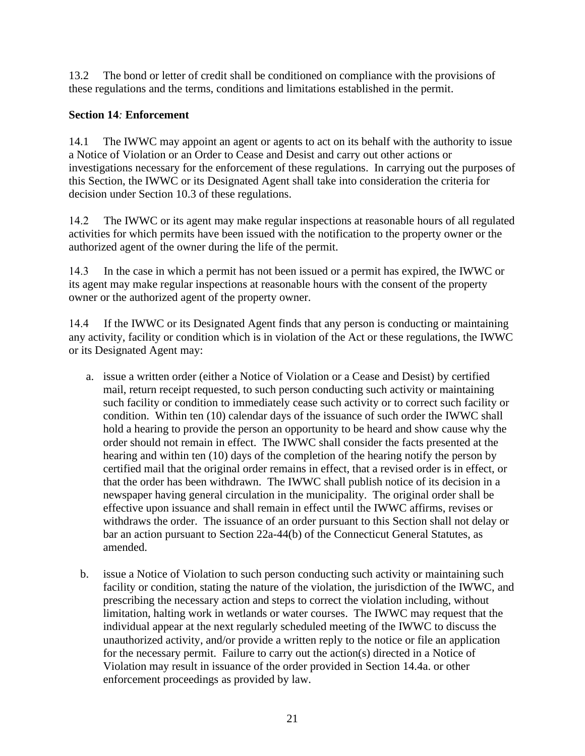13.2 The bond or letter of credit shall be conditioned on compliance with the provisions of these regulations and the terms, conditions and limitations established in the permit.

#### **Section 14***:* **Enforcement**

14.1 The IWWC may appoint an agent or agents to act on its behalf with the authority to issue a Notice of Violation or an Order to Cease and Desist and carry out other actions or investigations necessary for the enforcement of these regulations. In carrying out the purposes of this Section, the IWWC or its Designated Agent shall take into consideration the criteria for decision under Section 10.3 of these regulations.

14.2 The IWWC or its agent may make regular inspections at reasonable hours of all regulated activities for which permits have been issued with the notification to the property owner or the authorized agent of the owner during the life of the permit.

14.3 In the case in which a permit has not been issued or a permit has expired, the IWWC or its agent may make regular inspections at reasonable hours with the consent of the property owner or the authorized agent of the property owner.

14.4 If the IWWC or its Designated Agent finds that any person is conducting or maintaining any activity, facility or condition which is in violation of the Act or these regulations, the IWWC or its Designated Agent may:

- a. issue a written order (either a Notice of Violation or a Cease and Desist) by certified mail, return receipt requested, to such person conducting such activity or maintaining such facility or condition to immediately cease such activity or to correct such facility or condition. Within ten (10) calendar days of the issuance of such order the IWWC shall hold a hearing to provide the person an opportunity to be heard and show cause why the order should not remain in effect. The IWWC shall consider the facts presented at the hearing and within ten (10) days of the completion of the hearing notify the person by certified mail that the original order remains in effect, that a revised order is in effect, or that the order has been withdrawn. The IWWC shall publish notice of its decision in a newspaper having general circulation in the municipality. The original order shall be effective upon issuance and shall remain in effect until the IWWC affirms, revises or withdraws the order. The issuance of an order pursuant to this Section shall not delay or bar an action pursuant to Section 22a-44(b) of the Connecticut General Statutes, as amended.
- b. issue a Notice of Violation to such person conducting such activity or maintaining such facility or condition, stating the nature of the violation, the jurisdiction of the IWWC, and prescribing the necessary action and steps to correct the violation including, without limitation, halting work in wetlands or water courses. The IWWC may request that the individual appear at the next regularly scheduled meeting of the IWWC to discuss the unauthorized activity, and/or provide a written reply to the notice or file an application for the necessary permit. Failure to carry out the action(s) directed in a Notice of Violation may result in issuance of the order provided in Section 14.4a. or other enforcement proceedings as provided by law.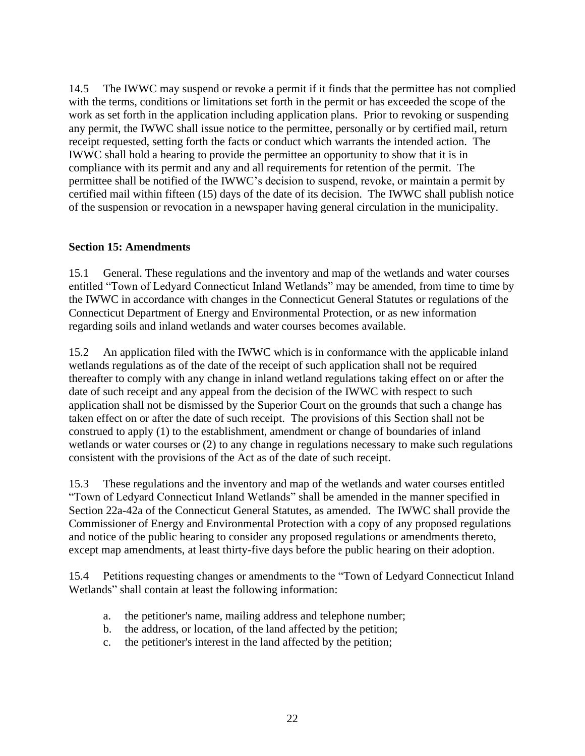14.5 The IWWC may suspend or revoke a permit if it finds that the permittee has not complied with the terms, conditions or limitations set forth in the permit or has exceeded the scope of the work as set forth in the application including application plans. Prior to revoking or suspending any permit, the IWWC shall issue notice to the permittee, personally or by certified mail, return receipt requested, setting forth the facts or conduct which warrants the intended action. The IWWC shall hold a hearing to provide the permittee an opportunity to show that it is in compliance with its permit and any and all requirements for retention of the permit. The permittee shall be notified of the IWWC's decision to suspend, revoke, or maintain a permit by certified mail within fifteen (15) days of the date of its decision. The IWWC shall publish notice of the suspension or revocation in a newspaper having general circulation in the municipality.

#### **Section 15: Amendments**

15.1 General. These regulations and the inventory and map of the wetlands and water courses entitled "Town of Ledyard Connecticut Inland Wetlands" may be amended, from time to time by the IWWC in accordance with changes in the Connecticut General Statutes or regulations of the Connecticut Department of Energy and Environmental Protection, or as new information regarding soils and inland wetlands and water courses becomes available.

15.2 An application filed with the IWWC which is in conformance with the applicable inland wetlands regulations as of the date of the receipt of such application shall not be required thereafter to comply with any change in inland wetland regulations taking effect on or after the date of such receipt and any appeal from the decision of the IWWC with respect to such application shall not be dismissed by the Superior Court on the grounds that such a change has taken effect on or after the date of such receipt. The provisions of this Section shall not be construed to apply (1) to the establishment, amendment or change of boundaries of inland wetlands or water courses or (2) to any change in regulations necessary to make such regulations consistent with the provisions of the Act as of the date of such receipt.

15.3 These regulations and the inventory and map of the wetlands and water courses entitled "Town of Ledyard Connecticut Inland Wetlands" shall be amended in the manner specified in Section 22a-42a of the Connecticut General Statutes, as amended. The IWWC shall provide the Commissioner of Energy and Environmental Protection with a copy of any proposed regulations and notice of the public hearing to consider any proposed regulations or amendments thereto, except map amendments, at least thirty-five days before the public hearing on their adoption.

15.4 Petitions requesting changes or amendments to the "Town of Ledyard Connecticut Inland Wetlands" shall contain at least the following information:

- a. the petitioner's name, mailing address and telephone number;
- b. the address, or location, of the land affected by the petition;
- c. the petitioner's interest in the land affected by the petition;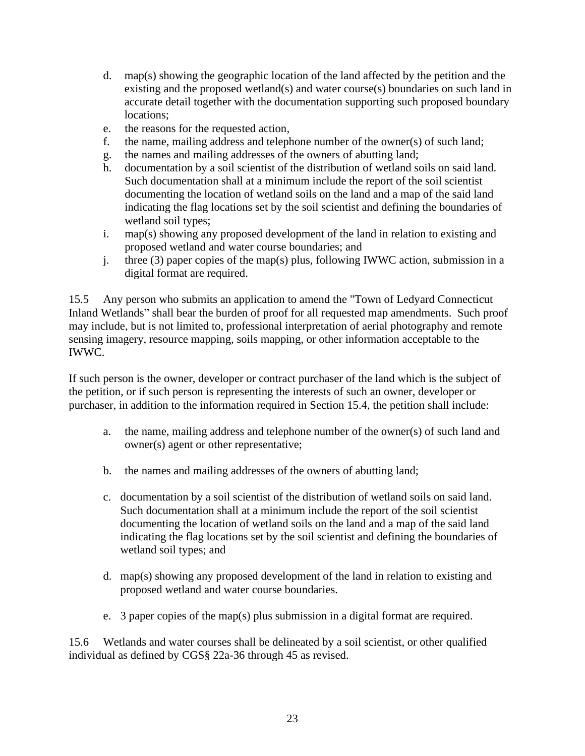- d. map(s) showing the geographic location of the land affected by the petition and the existing and the proposed wetland(s) and water course(s) boundaries on such land in accurate detail together with the documentation supporting such proposed boundary locations;
- e. the reasons for the requested action,
- f. the name, mailing address and telephone number of the owner(s) of such land;
- g. the names and mailing addresses of the owners of abutting land;
- h. documentation by a soil scientist of the distribution of wetland soils on said land. Such documentation shall at a minimum include the report of the soil scientist documenting the location of wetland soils on the land and a map of the said land indicating the flag locations set by the soil scientist and defining the boundaries of wetland soil types;
- i. map(s) showing any proposed development of the land in relation to existing and proposed wetland and water course boundaries; and
- j. three (3) paper copies of the map(s) plus, following IWWC action, submission in a digital format are required.

15.5 Any person who submits an application to amend the "Town of Ledyard Connecticut Inland Wetlands" shall bear the burden of proof for all requested map amendments. Such proof may include, but is not limited to, professional interpretation of aerial photography and remote sensing imagery, resource mapping, soils mapping, or other information acceptable to the IWWC.

If such person is the owner, developer or contract purchaser of the land which is the subject of the petition, or if such person is representing the interests of such an owner, developer or purchaser, in addition to the information required in Section 15.4, the petition shall include:

- a. the name, mailing address and telephone number of the owner(s) of such land and owner(s) agent or other representative;
- b. the names and mailing addresses of the owners of abutting land;
- c. documentation by a soil scientist of the distribution of wetland soils on said land. Such documentation shall at a minimum include the report of the soil scientist documenting the location of wetland soils on the land and a map of the said land indicating the flag locations set by the soil scientist and defining the boundaries of wetland soil types; and
- d. map(s) showing any proposed development of the land in relation to existing and proposed wetland and water course boundaries.
- e. 3 paper copies of the map(s) plus submission in a digital format are required.

15.6 Wetlands and water courses shall be delineated by a soil scientist, or other qualified individual as defined by CGS§ 22a-36 through 45 as revised.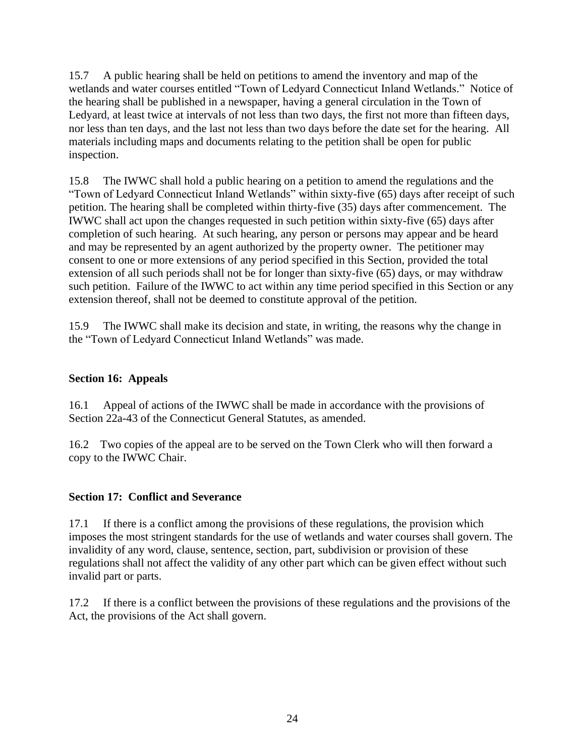15.7 A public hearing shall be held on petitions to amend the inventory and map of the wetlands and water courses entitled "Town of Ledyard Connecticut Inland Wetlands." Notice of the hearing shall be published in a newspaper, having a general circulation in the Town of Ledyard, at least twice at intervals of not less than two days, the first not more than fifteen days, nor less than ten days, and the last not less than two days before the date set for the hearing. All materials including maps and documents relating to the petition shall be open for public inspection.

15.8 The IWWC shall hold a public hearing on a petition to amend the regulations and the "Town of Ledyard Connecticut Inland Wetlands" within sixty-five (65) days after receipt of such petition. The hearing shall be completed within thirty-five (35) days after commencement. The IWWC shall act upon the changes requested in such petition within sixty-five (65) days after completion of such hearing. At such hearing, any person or persons may appear and be heard and may be represented by an agent authorized by the property owner. The petitioner may consent to one or more extensions of any period specified in this Section, provided the total extension of all such periods shall not be for longer than sixty-five (65) days, or may withdraw such petition. Failure of the IWWC to act within any time period specified in this Section or any extension thereof, shall not be deemed to constitute approval of the petition.

15.9 The IWWC shall make its decision and state, in writing, the reasons why the change in the "Town of Ledyard Connecticut Inland Wetlands" was made.

#### **Section 16: Appeals**

16.1 Appeal of actions of the IWWC shall be made in accordance with the provisions of Section 22a-43 of the Connecticut General Statutes, as amended.

16.2 Two copies of the appeal are to be served on the Town Clerk who will then forward a copy to the IWWC Chair.

#### **Section 17: Conflict and Severance**

17.1 If there is a conflict among the provisions of these regulations, the provision which imposes the most stringent standards for the use of wetlands and water courses shall govern. The invalidity of any word, clause, sentence, section, part, subdivision or provision of these regulations shall not affect the validity of any other part which can be given effect without such invalid part or parts.

17.2 If there is a conflict between the provisions of these regulations and the provisions of the Act, the provisions of the Act shall govern.